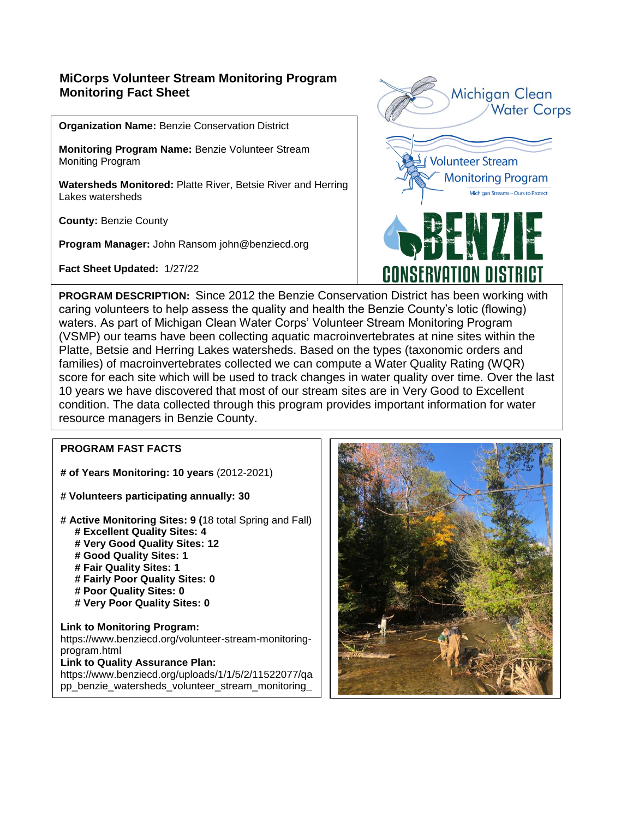## **MiCorps Volunteer Stream Monitoring Program Monitoring Fact Sheet**

**Organization Name:** Benzie Conservation District

**Monitoring Program Name:** Benzie Volunteer Stream Moniting Program

**Watersheds Monitored:** Platte River, Betsie River and Herring Lakes watersheds

**County:** Benzie County

**Program Manager:** John Ransom john@benziecd.org

**Fact Sheet Updated:** 1/27/22



**PROGRAM DESCRIPTION:** Since 2012 the Benzie Conservation District has been working with caring volunteers to help assess the quality and health the Benzie County's lotic (flowing) waters. As part of Michigan Clean Water Corps' Volunteer Stream Monitoring Program (VSMP) our teams have been collecting aquatic macroinvertebrates at nine sites within the Platte, Betsie and Herring Lakes watersheds. Based on the types (taxonomic orders and families) of macroinvertebrates collected we can compute a Water Quality Rating (WQR) score for each site which will be used to track changes in water quality over time. Over the last 10 years we have discovered that most of our stream sites are in Very Good to Excellent condition. The data collected through this program provides important information for water resource managers in Benzie County.

### **PROGRAM FAST FACTS**

**project\_2020.pdf**<br>2020.pdf

**# of Years Monitoring: 10 years** (2012-2021)

**# Volunteers participating annually: 30**

**# Active Monitoring Sites: 9 (**18 total Spring and Fall)  **# Excellent Quality Sites: 4 # Very Good Quality Sites: 12 # Good Quality Sites: 1 # Fair Quality Sites: 1 # Fairly Poor Quality Sites: 0 # Poor Quality Sites: 0 # Very Poor Quality Sites: 0**

**Link to Monitoring Program:**  https://www.benziecd.org/volunteer-stream-monitoringprogram.html **Link to Quality Assurance Plan:**  https://www.benziecd.org/uploads/1/1/5/2/11522077/qa pp\_benzie\_watersheds\_volunteer\_stream\_monitoring**\_**